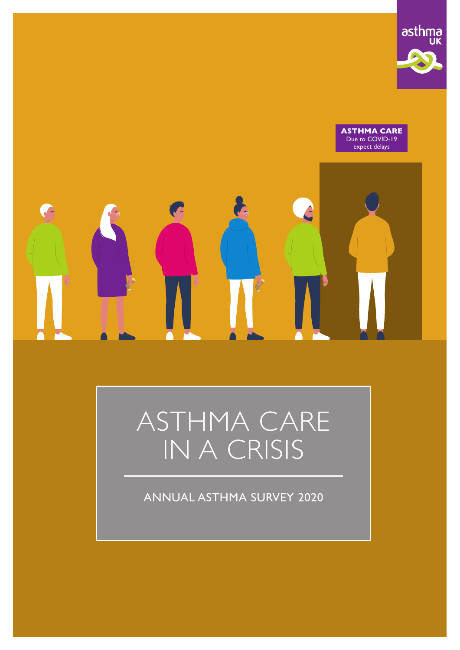

**ASTHMA CARE** Due to COVID-19 expect delays

# A

# ASTHMA CARE IN A CRISIS

ANNUAL ASTHMA SURVEY 2020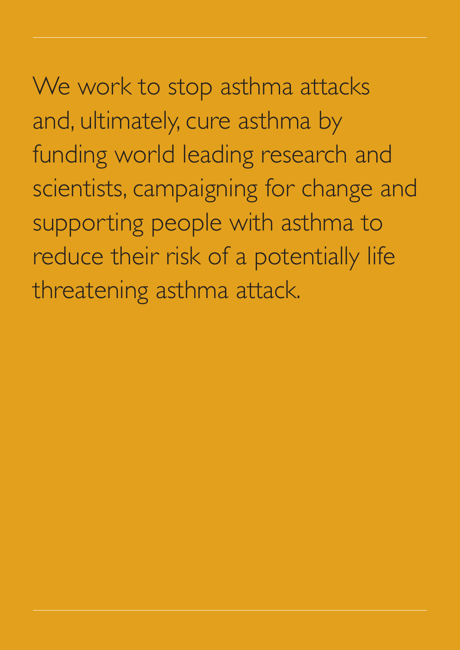We work to stop asthma attacks and, ultimately, cure asthma by funding world leading research and scientists, campaigning for change and supporting people with asthma to reduce their risk of a potentially life threatening asthma attack.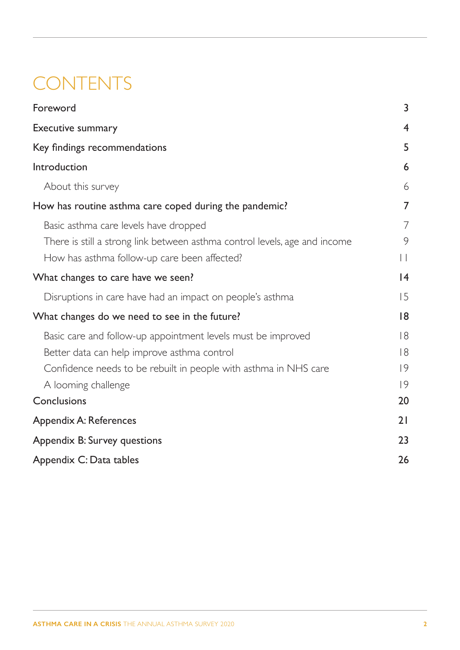# **CONTENTS**

| Foreword                                                                   | 3               |
|----------------------------------------------------------------------------|-----------------|
| Executive summary                                                          | $\overline{4}$  |
| Key findings recommendations                                               | 5               |
| Introduction                                                               | 6               |
| About this survey                                                          | 6               |
| How has routine asthma care coped during the pandemic?                     | 7               |
| Basic asthma care levels have dropped                                      | 7               |
| There is still a strong link between asthma control levels, age and income | 9               |
| How has asthma follow-up care been affected?                               | $\vert \ \vert$ |
| What changes to care have we seen?                                         | 4               |
| Disruptions in care have had an impact on people's asthma                  | 15              |
| What changes do we need to see in the future?                              | 8               |
| Basic care and follow-up appointment levels must be improved               | 8               |
| Better data can help improve asthma control                                | 8               |
| Confidence needs to be rebuilt in people with asthma in NHS care           | 9               |
| A looming challenge                                                        | 9               |
| Conclusions                                                                | 20              |
| Appendix A: References                                                     | 21              |
| Appendix B: Survey questions                                               | 23              |
| Appendix C: Data tables                                                    | 26              |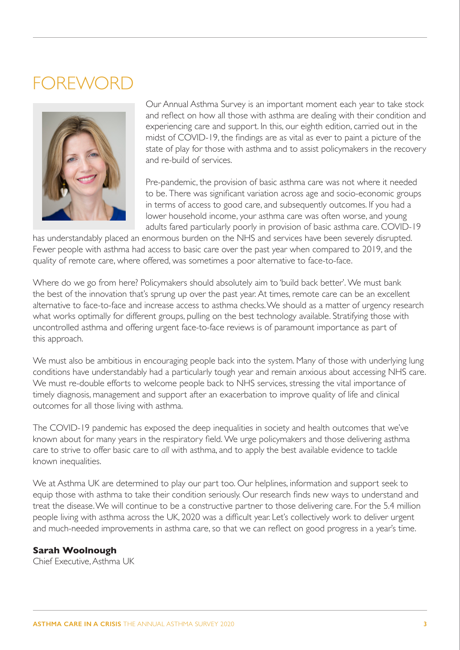## <span id="page-3-0"></span>**OREWOR**I



Our Annual Asthma Survey is an important moment each year to take stock and reflect on how all those with asthma are dealing with their condition and experiencing care and support. In this, our eighth edition, carried out in the midst of COVID-19, the findings are as vital as ever to paint a picture of the state of play for those with asthma and to assist policymakers in the recovery and re-build of services.

Pre-pandemic, the provision of basic asthma care was not where it needed to be. There was significant variation across age and socio-economic groups in terms of access to good care, and subsequently outcomes. If you had a lower household income, your asthma care was often worse, and young adults fared particularly poorly in provision of basic asthma care. COVID-19

has understandably placed an enormous burden on the NHS and services have been severely disrupted. Fewer people with asthma had access to basic care over the past year when compared to 2019, and the quality of remote care, where offered, was sometimes a poor alternative to face-to-face.

Where do we go from here? Policymakers should absolutely aim to 'build back better'. We must bank the best of the innovation that's sprung up over the past year. At times, remote care can be an excellent alternative to face-to-face and increase access to asthma checks. We should as a matter of urgency research what works optimally for different groups, pulling on the best technology available. Stratifying those with uncontrolled asthma and offering urgent face-to-face reviews is of paramount importance as part of this approach.

We must also be ambitious in encouraging people back into the system. Many of those with underlying lung conditions have understandably had a particularly tough year and remain anxious about accessing NHS care. We must re-double efforts to welcome people back to NHS services, stressing the vital importance of timely diagnosis, management and support after an exacerbation to improve quality of life and clinical outcomes for all those living with asthma.

The COVID-19 pandemic has exposed the deep inequalities in society and health outcomes that we've known about for many years in the respiratory field. We urge policymakers and those delivering asthma care to strive to offer basic care to *all* with asthma, and to apply the best available evidence to tackle known inequalities.

We at Asthma UK are determined to play our part too. Our helplines, information and support seek to equip those with asthma to take their condition seriously. Our research finds new ways to understand and treat the disease. We will continue to be a constructive partner to those delivering care. For the 5.4 million people living with asthma across the UK, 2020 was a difficult year. Let's collectively work to deliver urgent and much-needed improvements in asthma care, so that we can reflect on good progress in a year's time.

## **Sarah Woolnough**

Chief Executive, Asthma UK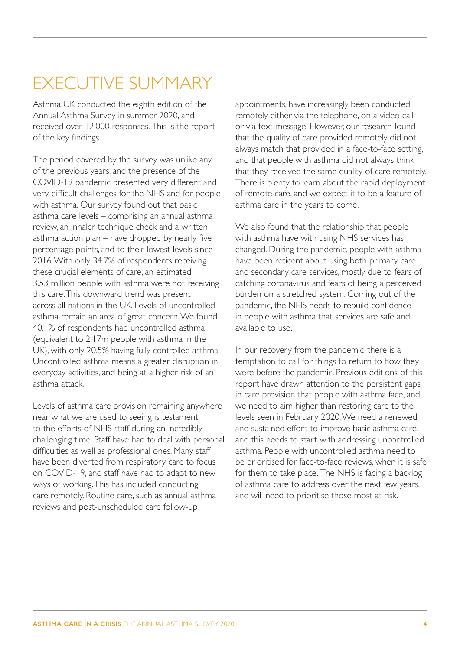# <span id="page-4-0"></span>EXECUTIVE SUMMARY

Asthma UK conducted the eighth edition of the Annual Asthma Survey in summer 2020, and received over 12,000 responses. This is the report of the key findings.

The period covered by the survey was unlike any of the previous years, and the presence of the COVID-19 pandemic presented very different and very difficult challenges for the NHS and for people with asthma. Our survey found out that basic asthma care levels – comprising an annual asthma review, an inhaler technique check and a written asthma action plan – have dropped by nearly five percentage points, and to their lowest levels since 2016. With only 34.7% of respondents receiving these crucial elements of care, an estimated 3.53 million people with asthma were not receiving this care. This downward trend was present across all nations in the UK. Levels of uncontrolled asthma remain an area of great concern. We found 40.1% of respondents had uncontrolled asthma (equivalent to 2.17m people with asthma in the UK), with only 20.5% having fully controlled asthma. Uncontrolled asthma means a greater disruption in everyday activities, and being at a higher risk of an asthma attack.

Levels of asthma care provision remaining anywhere near what we are used to seeing is testament to the efforts of NHS staff during an incredibly challenging time. Staff have had to deal with personal difficulties as well as professional ones. Many staff have been diverted from respiratory care to focus on COVID-19, and staff have had to adapt to new ways of working. This has included conducting care remotely. Routine care, such as annual asthma reviews and post-unscheduled care follow-up

appointments, have increasingly been conducted remotely, either via the telephone, on a video call or via text message. However, our research found that the quality of care provided remotely did not always match that provided in a face-to-face setting, and that people with asthma did not always think that they received the same quality of care remotely. There is plenty to learn about the rapid deployment of remote care, and we expect it to be a feature of asthma care in the years to come.

We also found that the relationship that people with asthma have with using NHS services has changed. During the pandemic, people with asthma have been reticent about using both primary care and secondary care services, mostly due to fears of catching coronavirus and fears of being a perceived burden on a stretched system. Coming out of the pandemic, the NHS needs to rebuild confidence in people with asthma that services are safe and available to use.

In our recovery from the pandemic, there is a temptation to call for things to return to how they were before the pandemic. Previous editions of this report have drawn attention to the persistent gaps in care provision that people with asthma face, and we need to aim higher than restoring care to the levels seen in February 2020. We need a renewed and sustained effort to improve basic asthma care, and this needs to start with addressing uncontrolled asthma. People with uncontrolled asthma need to be prioritised for face-to-face reviews, when it is safe for them to take place. The NHS is facing a backlog of asthma care to address over the next few years, and will need to prioritise those most at risk.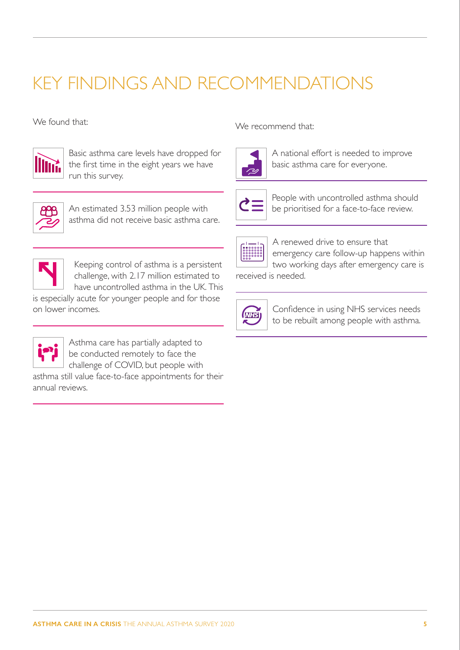# <span id="page-5-0"></span>KEY FINDINGS AND RECOMMENDATIONS



Basic asthma care levels have dropped for the first time in the eight years we have run this survey.



An estimated 3.53 million people with asthma did not receive basic asthma care.



Keeping control of asthma is a persistent challenge, with 2.17 million estimated to have uncontrolled asthma in the UK. This

is especially acute for younger people and for those on lower incomes.



Asthma care has partially adapted to be conducted remotely to face the challenge of COVID, but people with

asthma still value face-to-face appointments for their annual reviews.

We found that:  $\mathbb{W}_{\mathsf{P}}$  recommend that:



A national effort is needed to improve basic asthma care for everyone.



People with uncontrolled asthma should be prioritised for a face-to-face review.



A renewed drive to ensure that emergency care follow-up happens within two working days after emergency care is

received is needed.



Confidence in using NHS services needs to be rebuilt among people with asthma.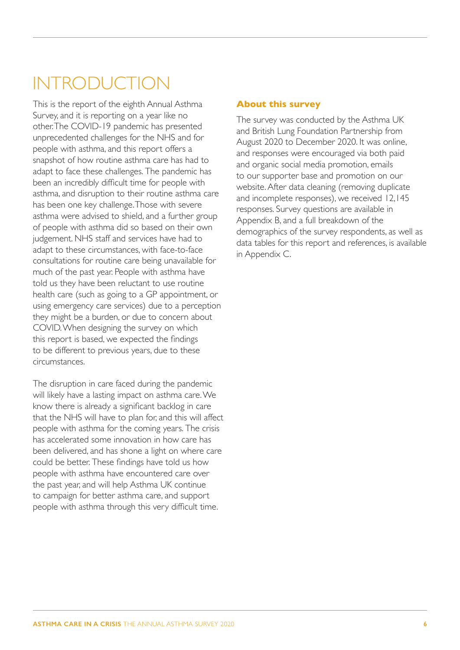# <span id="page-6-0"></span>INTRODUCTION

This is the report of the eighth Annual Asthma Survey, and it is reporting on a year like no other. The COVID-19 pandemic has presented unprecedented challenges for the NHS and for people with asthma, and this report offers a snapshot of how routine asthma care has had to adapt to face these challenges. The pandemic has been an incredibly difficult time for people with asthma, and disruption to their routine asthma care has been one key challenge. Those with severe asthma were advised to shield, and a further group of people with asthma did so based on their own judgement. NHS staff and services have had to adapt to these circumstances, with face-to-face consultations for routine care being unavailable for much of the past year. People with asthma have told us they have been reluctant to use routine health care (such as going to a GP appointment, or using emergency care services) due to a perception they might be a burden, or due to concern about COVID. When designing the survey on which this report is based, we expected the findings to be different to previous years, due to these circumstances.

The disruption in care faced during the pandemic will likely have a lasting impact on asthma care. We know there is already a significant backlog in care that the NHS will have to plan for, and this will affect people with asthma for the coming years. The crisis has accelerated some innovation in how care has been delivered, and has shone a light on where care could be better. These findings have told us how people with asthma have encountered care over the past year, and will help Asthma UK continue to campaign for better asthma care, and support people with asthma through this very difficult time.

## **About this survey**

The survey was conducted by the Asthma UK and British Lung Foundation Partnership from August 2020 to December 2020. It was online, and responses were encouraged via both paid and organic social media promotion, emails to our supporter base and promotion on our website. After data cleaning (removing duplicate and incomplete responses), we received 12,145 responses. Survey questions are available in [Appendix B](#page-23-1), and a full breakdown of the demographics of the survey respondents, as well as data tables for this report and references, is available in [Appendix C](#page-26-1).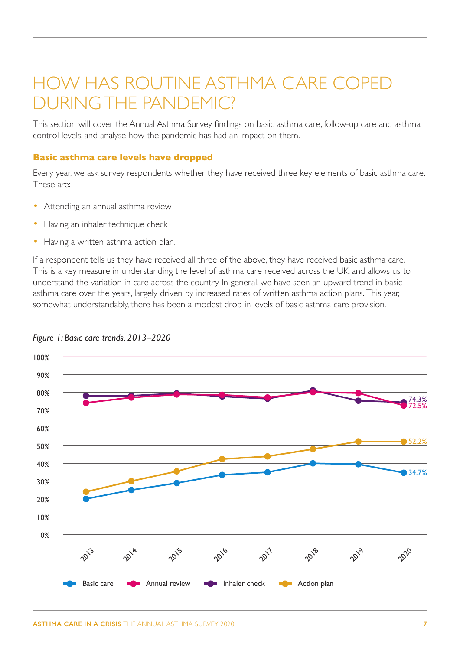## <span id="page-7-0"></span>HOW HAS ROUTINE ASTHMA CARE COPED DURING THE PANDEMIC?

This section will cover the Annual Asthma Survey findings on basic asthma care, follow-up care and asthma control levels, and analyse how the pandemic has had an impact on them.

#### **Basic asthma care levels have dropped**

Every year, we ask survey respondents whether they have received three key elements of basic asthma care. These are:

- Attending an annual asthma review
- Having an inhaler technique check
- Having a written asthma action plan.

If a respondent tells us they have received all three of the above, they have received basic asthma care. This is a key measure in understanding the level of asthma care received across the UK, and allows us to understand the variation in care across the country. In general, we have seen an upward trend in basic asthma care over the years, largely driven by increased rates of written asthma action plans. This year, somewhat understandably, there has been a modest drop in levels of basic asthma care provision.



#### *Figure 1: Basic care trends, 2013–2020*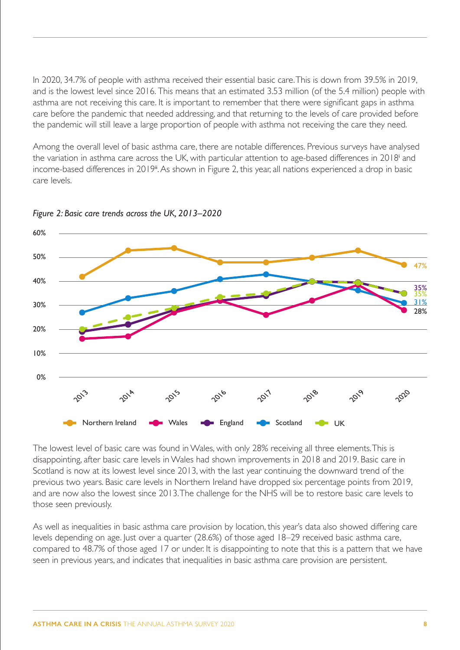In 2020, 34.7% of people with asthma received their essential basic care. This is down from 39.5% in 2019, and is the lowest level since 2016. This means that an estimated 3.53 million (of the 5.4 million) people with asthma are not receiving this care. It is important to remember that there were significant gaps in asthma care before the pandemic that needed addressing, and that returning to the levels of care provided before the pandemic will still leave a large proportion of people with asthma not receiving the care they need.

Among the overall level of basic asthma care, there are notable differences. Previous surveys have analysed the var[i](#page-21-1)ation in asthma care across the UK, with particular attention to age-based differences in 2018<sup>i</sup> and income-based differences in 2019<sup>[ii](#page-21-2)</sup>. As shown in Figure 2, this year, all nations experienced a drop in basic care levels.



*Figure 2: Basic care trends across the UK, 2013–2020*

The lowest level of basic care was found in Wales, with only 28% receiving all three elements. This is disappointing, after basic care levels in Wales had shown improvements in 2018 and 2019. Basic care in Scotland is now at its lowest level since 2013, with the last year continuing the downward trend of the previous two years. Basic care levels in Northern Ireland have dropped six percentage points from 2019, and are now also the lowest since 2013. The challenge for the NHS will be to restore basic care levels to those seen previously.

As well as inequalities in basic asthma care provision by location, this year's data also showed differing care levels depending on age. Just over a quarter (28.6%) of those aged 18–29 received basic asthma care, compared to 48.7% of those aged 17 or under. It is disappointing to note that this is a pattern that we have seen in previous years, and indicates that inequalities in basic asthma care provision are persistent.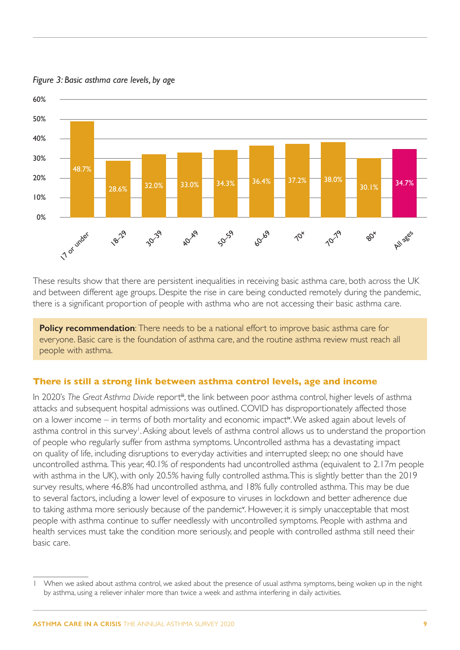

#### <span id="page-9-0"></span>*Figure 3: Basic asthma care levels, by age*

These results show that there are persistent inequalities in receiving basic asthma care, both across the UK and between different age groups. Despite the rise in care being conducted remotely during the pandemic, there is a significant proportion of people with asthma who are not accessing their basic asthma care.

**Policy recommendation**: There needs to be a national effort to improve basic asthma care for everyone. Basic care is the foundation of asthma care, and the routine asthma review must reach all people with asthma.

#### **There is still a strong link between asthma control levels, age and income**

In 2020's *The Great Asthma Divide report<sup>ii</sup>*, the link between poor asthma control, higher levels of asthma attacks and subsequent hospital admissions was outlined. COVID has disproportionately affected those on a lower income – in terms of both mortality and economic impact[iv](#page-21-4). We asked again about levels of asthma control in this survey<sup>1</sup>. Asking about levels of asthma control allows us to understand the proportion of people who regularly suffer from asthma symptoms. Uncontrolled asthma has a devastating impact on quality of life, including disruptions to everyday activities and interrupted sleep; no one should have uncontrolled asthma. This year, 40.1% of respondents had uncontrolled asthma (equivalent to 2.17m people with asthma in the UK), with only 20.5% having fully controlled asthma. This is slightly better than the 2019 survey results, where 46.8% had uncontrolled asthma, and 18% fully controlled asthma. This may be due to several factors, including a lower level of exposure to viruses in lockdown and better adherence due to taking asthma more seriously because of the pandemic<sup>y</sup>. Howe[v](#page-21-5)er, it is simply unacceptable that most people with asthma continue to suffer needlessly with uncontrolled symptoms. People with asthma and health services must take the condition more seriously, and people with controlled asthma still need their basic care.

When we asked about asthma control, we asked about the presence of usual asthma symptoms, being woken up in the night by asthma, using a reliever inhaler more than twice a week and asthma interfering in daily activities.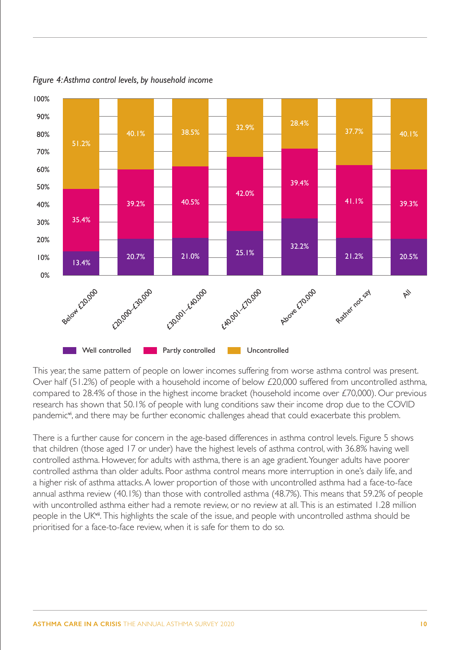

*Figure 4: Asthma control levels, by household income*

This year, the same pattern of people on lower incomes suffering from worse asthma control was present. Over half (51.2%) of people with a household income of below £20,000 suffered from uncontrolled asthma, compared to 28.4% of those in the highest income bracket (household income over £70,000). Our previous research has shown that 50.1% of people with lung conditions saw their income drop due to the COVID pandemic<sup>[vi](#page-21-6)</sup>, and there may be further economic challenges ahead that could exacerbate this problem.

There is a further cause for concern in the age-based differences in asthma control levels. Figure 5 shows that children (those aged 17 or under) have the highest levels of asthma control, with 36.8% having well controlled asthma. However, for adults with asthma, there is an age gradient. Younger adults have poorer controlled asthma than older adults. Poor asthma control means more interruption in one's daily life, and a higher risk of asthma attacks. A lower proportion of those with uncontrolled asthma had a face-to-face annual asthma review (40.1%) than those with controlled asthma (48.7%). This means that 59.2% of people with uncontrolled asthma either had a remote review, or no review at all. This is an estimated 1.28 million people in the UK<sup>[vii](#page-21-7)</sup>. This highlights the scale of the issue, and people with uncontrolled asthma should be prioritised for a face-to-face review, when it is safe for them to do so.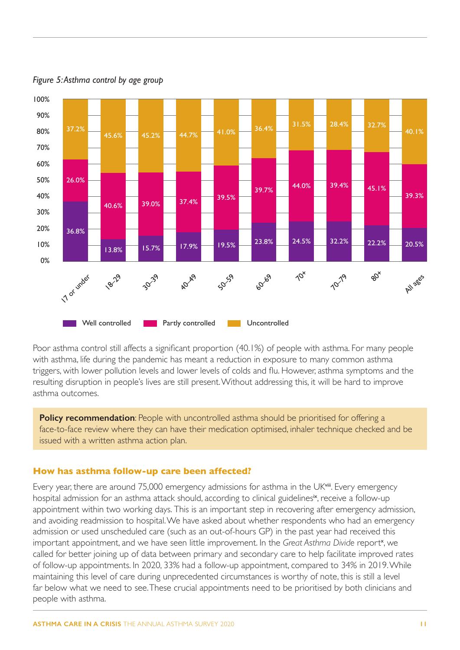

<span id="page-11-0"></span>*Figure 5: Asthma control by age group*

Poor asthma control still affects a significant proportion (40.1%) of people with asthma. For many people with asthma, life during the pandemic has meant a reduction in exposure to many common asthma triggers, with lower pollution levels and lower levels of colds and flu. However, asthma symptoms and the resulting disruption in people's lives are still present. Without addressing this, it will be hard to improve asthma outcomes.

**Policy recommendation**: People with uncontrolled asthma should be prioritised for offering a face-to-face review where they can have their medication optimised, inhaler technique checked and be issued with a written asthma action plan.

#### **How has asthma follow-up care been affected?**

Every year, there are around 75,000 emergency admissions for asthma in the UK<sup>[viii](#page-21-8)</sup>. Every emergency hospital admission for an asthma attack should, according to clinical guidelines<sup>[ix](#page-21-9)</sup>, receive a follow-up appointment within two working days. This is an important step in recovering after emergency admission, and avoiding readmission to hospital. We have asked about whether respondents who had an emergency admission or used unscheduled care (such as an out-of-hours GP) in the past year had received this important appointment, and we have seen little improvement. In the Great Asthma Divide report<sup>[x](#page-21-10)</sup>, we called for better joining up of data between primary and secondary care to help facilitate improved rates of follow-up appointments. In 2020, 33% had a follow-up appointment, compared to 34% in 2019. While maintaining this level of care during unprecedented circumstances is worthy of note, this is still a level far below what we need to see. These crucial appointments need to be prioritised by both clinicians and people with asthma.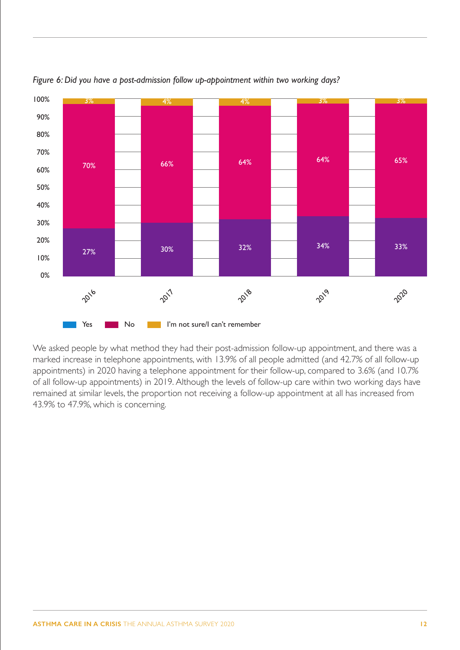

*Figure 6: Did you have a post-admission follow up-appointment within two working days?*

We asked people by what method they had their post-admission follow-up appointment, and there was a marked increase in telephone appointments, with 13.9% of all people admitted (and 42.7% of all follow-up appointments) in 2020 having a telephone appointment for their follow-up, compared to 3.6% (and 10.7% of all follow-up appointments) in 2019. Although the levels of follow-up care within two working days have remained at similar levels, the proportion not receiving a follow-up appointment at all has increased from 43.9% to 47.9%, which is concerning.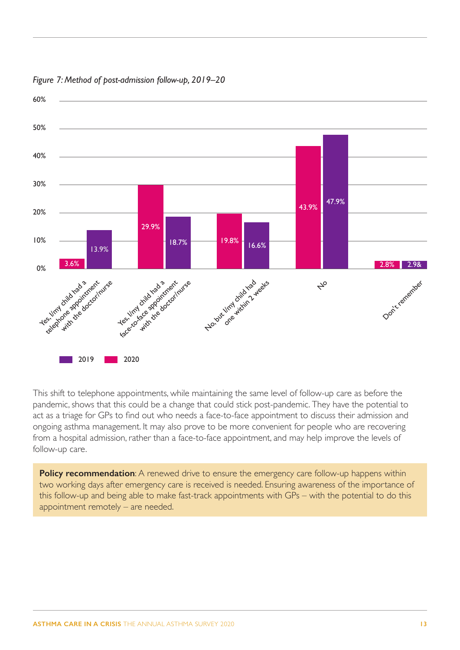

*Figure 7: Method of post-admission follow-up, 2019–20*

This shift to telephone appointments, while maintaining the same level of follow-up care as before the pandemic, shows that this could be a change that could stick post-pandemic. They have the potential to act as a triage for GPs to find out who needs a face-to-face appointment to discuss their admission and ongoing asthma management. It may also prove to be more convenient for people who are recovering from a hospital admission, rather than a face-to-face appointment, and may help improve the levels of follow-up care.

**Policy recommendation:** A renewed drive to ensure the emergency care follow-up happens within two working days after emergency care is received is needed. Ensuring awareness of the importance of this follow-up and being able to make fast-track appointments with GPs – with the potential to do this appointment remotely – are needed.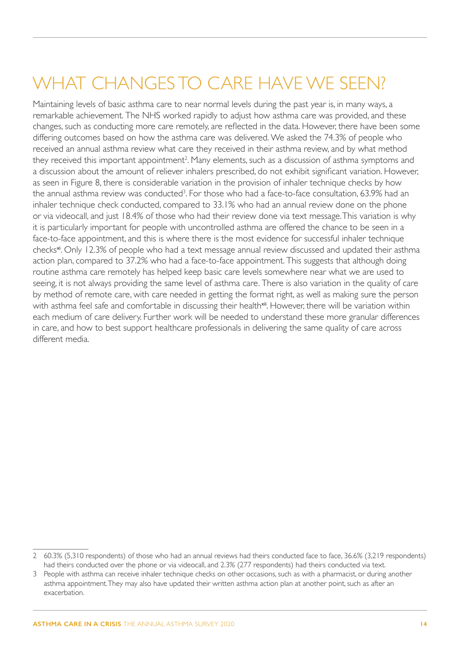# <span id="page-14-0"></span>WHAT CHANGES TO CARE HAVE WE SEEN?

Maintaining levels of basic asthma care to near normal levels during the past year is, in many ways, a remarkable achievement. The NHS worked rapidly to adjust how asthma care was provided, and these changes, such as conducting more care remotely, are reflected in the data. However, there have been some differing outcomes based on how the asthma care was delivered. We asked the 74.3% of people who received an annual asthma review what care they received in their asthma review, and by what method they received this important appointment<sup>2</sup>. Many elements, such as a discussion of asthma symptoms and a discussion about the amount of reliever inhalers prescribed, do not exhibit significant variation. However, as seen in Figure 8, there is considerable variation in the provision of inhaler technique checks by how the annual asthma review was conducted<sup>3</sup>. For those who had a face-to-face consultation, 63.9% had an inhaler technique check conducted, compared to 33.1% who had an annual review done on the phone or via videocall, and just 18.4% of those who had their review done via text message. This variation is why it is particularly important for people with uncontrolled asthma are offered the chance to be seen in a face-to-face appointment, and this is where there is the most evidence for successful inhaler technique checks<sup>[xi](#page-21-11)</sup>. Only 12.3% of people who had a text message annual review discussed and updated their asthma action plan, compared to 37.2% who had a face-to-face appointment. This suggests that although doing routine asthma care remotely has helped keep basic care levels somewhere near what we are used to seeing, it is not always providing the same level of asthma care. There is also variation in the quality of care by method of remote care, with care needed in getting the format right, as well as making sure the person with asthma feel safe and comfortable in discussing their health<sup>[xii](#page-21-12)</sup>. However, there will be variation within each medium of care delivery. Further work will be needed to understand these more granular differences in care, and how to best support healthcare professionals in delivering the same quality of care across different media.

<sup>2</sup> 60.3% (5,310 respondents) of those who had an annual reviews had theirs conducted face to face, 36.6% (3,219 respondents) had theirs conducted over the phone or via videocall, and 2.3% (277 respondents) had theirs conducted via text.

<sup>3</sup> People with asthma can receive inhaler technique checks on other occasions, such as with a pharmacist, or during another asthma appointment. They may also have updated their written asthma action plan at another point, such as after an exacerbation.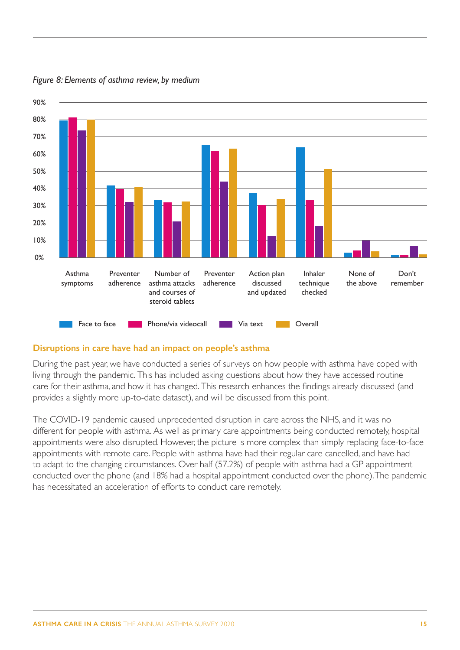

<span id="page-15-0"></span>*Figure 8: Elements of asthma review, by medium*

## **Disruptions in care have had an impact on people's asthma**

During the past year, we have conducted a series of surveys on how people with asthma have coped with living through the pandemic. This has included asking questions about how they have accessed routine care for their asthma, and how it has changed. This research enhances the findings already discussed (and provides a slightly more up-to-date dataset), and will be discussed from this point.

The COVID-19 pandemic caused unprecedented disruption in care across the NHS, and it was no different for people with asthma. As well as primary care appointments being conducted remotely, hospital appointments were also disrupted. However, the picture is more complex than simply replacing face-to-face appointments with remote care. People with asthma have had their regular care cancelled, and have had to adapt to the changing circumstances. Over half (57.2%) of people with asthma had a GP appointment conducted over the phone (and 18% had a hospital appointment conducted over the phone). The pandemic has necessitated an acceleration of efforts to conduct care remotely.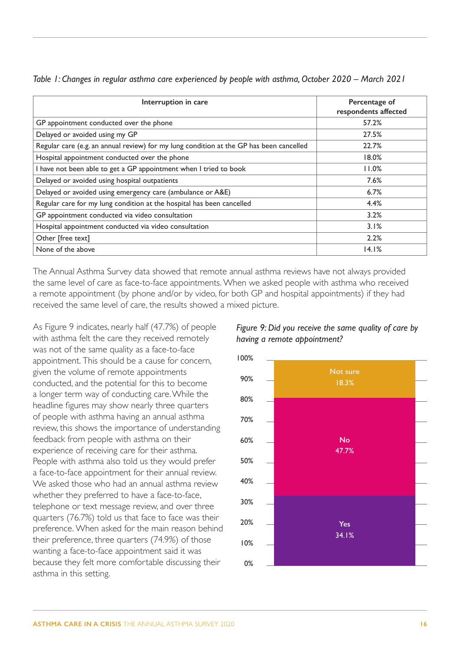| Interruption in care                                                                    | Percentage of<br>respondents affected |
|-----------------------------------------------------------------------------------------|---------------------------------------|
| GP appointment conducted over the phone                                                 | 57.2%                                 |
| Delayed or avoided using my GP                                                          | 27.5%                                 |
| Regular care (e.g. an annual review) for my lung condition at the GP has been cancelled | 22.7%                                 |
| Hospital appointment conducted over the phone                                           | 18.0%                                 |
| I have not been able to get a GP appointment when I tried to book                       | 11.0%                                 |
| Delayed or avoided using hospital outpatients                                           | 7.6%                                  |
| Delayed or avoided using emergency care (ambulance or A&E)                              | 6.7%                                  |
| Regular care for my lung condition at the hospital has been cancelled                   | 4.4%                                  |
| GP appointment conducted via video consultation                                         | 3.2%                                  |
| Hospital appointment conducted via video consultation                                   | $3.1\%$                               |
| Other [free text]                                                                       | 2.2%                                  |
| None of the above                                                                       | 14.1%                                 |

*Table 1: Changes in regular asthma care experienced by people with asthma, October 2020 – March 2021*

The Annual Asthma Survey data showed that remote annual asthma reviews have not always provided the same level of care as face-to-face appointments. When we asked people with asthma who received a remote appointment (by phone and/or by video, for both GP and hospital appointments) if they had received the same level of care, the results showed a mixed picture.

As Figure 9 indicates, nearly half (47.7%) of people with asthma felt the care they received remotely was not of the same quality as a face-to-face appointment. This should be a cause for concern, given the volume of remote appointments conducted, and the potential for this to become a longer term way of conducting care. While the headline figures may show nearly three quarters of people with asthma having an annual asthma review, this shows the importance of understanding feedback from people with asthma on their experience of receiving care for their asthma. People with asthma also told us they would prefer a face-to-face appointment for their annual review. We asked those who had an annual asthma review whether they preferred to have a face-to-face, telephone or text message review, and over three quarters (76.7%) told us that face to face was their preference. When asked for the main reason behind their preference, three quarters (74.9%) of those wanting a face-to-face appointment said it was because they felt more comfortable discussing their asthma in this setting.



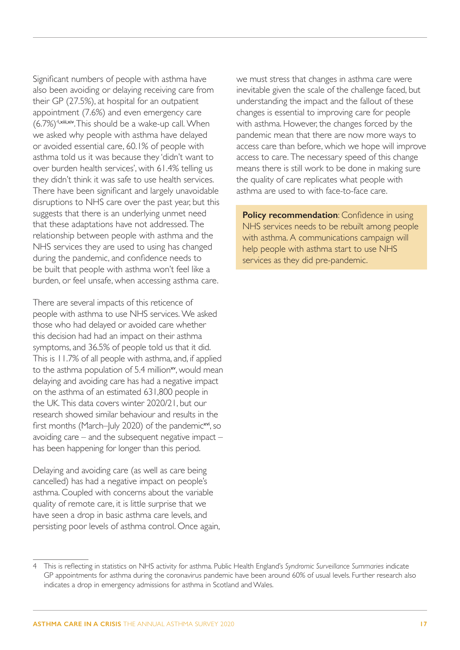Significant numbers of people with asthma have also been avoiding or delaying receiving care from their GP (27.5%), at hospital for an outpatient appointment (7.6%) and even emergency care  $(6.7%)<sup>4,xiii,xiv</sup>$  $(6.7%)<sup>4,xiii,xiv</sup>$  $(6.7%)<sup>4,xiii,xiv</sup>$  $(6.7%)<sup>4,xiii,xiv</sup>$  $(6.7%)<sup>4,xiii,xiv</sup>$ . This should be a wake-up call. When we asked why people with asthma have delayed or avoided essential care, 60.1% of people with asthma told us it was because they 'didn't want to over burden health services', with 61.4% telling us they didn't think it was safe to use health services. There have been significant and largely unavoidable disruptions to NHS care over the past year, but this suggests that there is an underlying unmet need that these adaptations have not addressed. The relationship between people with asthma and the NHS services they are used to using has changed during the pandemic, and confidence needs to be built that people with asthma won't feel like a burden, or feel unsafe, when accessing asthma care.

There are several impacts of this reticence of people with asthma to use NHS services. We asked those who had delayed or avoided care whether this decision had had an impact on their asthma symptoms, and 36.5% of people told us that it did. This is 11.7% of all people with asthma, and, if applied to the asthma population of 5.4 million<sup>[xv](#page-21-15)</sup>, would mean delaying and avoiding care has had a negative impact on the asthma of an estimated 631,800 people in the UK. This data covers winter 2020/21, but our research showed similar behaviour and results in the first months (March–July 2020) of the pandemic<sup>[xvi](#page-22-0)</sup>, so avoiding care – and the subsequent negative impact – has been happening for longer than this period.

Delaying and avoiding care (as well as care being cancelled) has had a negative impact on people's asthma. Coupled with concerns about the variable quality of remote care, it is little surprise that we have seen a drop in basic asthma care levels, and persisting poor levels of asthma control. Once again, we must stress that changes in asthma care were inevitable given the scale of the challenge faced, but understanding the impact and the fallout of these changes is essential to improving care for people with asthma. However, the changes forced by the pandemic mean that there are now more ways to access care than before, which we hope will improve access to care. The necessary speed of this change means there is still work to be done in making sure the quality of care replicates what people with asthma are used to with face-to-face care.

**Policy recommendation:** Confidence in using NHS services needs to be rebuilt among people with asthma. A communications campaign will help people with asthma start to use NHS services as they did pre-pandemic.

<sup>4</sup> This is reflecting in statistics on NHS activity for asthma. Public Health England's *Syndromic Surveillance Summaries* indicate GP appointments for asthma during the coronavirus pandemic have been around 60% of usual levels. Further research also indicates a drop in emergency admissions for asthma in Scotland and Wales.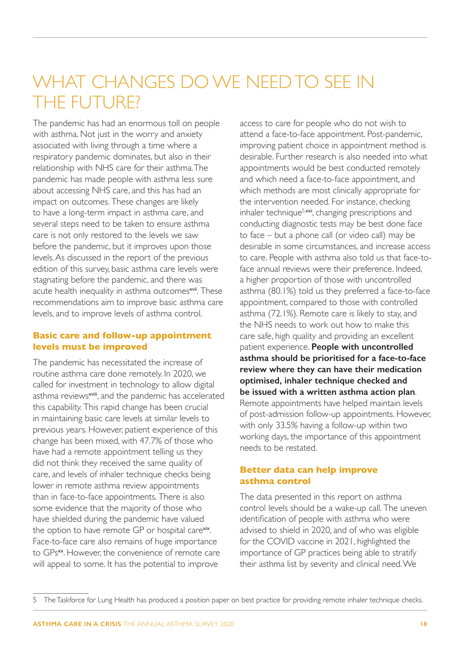## <span id="page-18-0"></span>WHAT CHANGES DO WE NEED TO SFF IN THE FUTURE?

The pandemic has had an enormous toll on people with asthma. Not just in the worry and anxiety associated with living through a time where a respiratory pandemic dominates, but also in their relationship with NHS care for their asthma. The pandemic has made people with asthma less sure about accessing NHS care, and this has had an impact on outcomes. These changes are likely to have a long-term impact in asthma care, and several steps need to be taken to ensure asthma care is not only restored to the levels we saw before the pandemic, but it improves upon those levels. As discussed in the report of the previous edition of this survey, basic asthma care levels were stagnating before the pandemic, and there was acute health inequality in asthma outcomes<sup>[xvii](#page-22-1)</sup>. These recommendations aim to improve basic asthma care levels, and to improve levels of asthma control.

## **Basic care and follow-up appointment levels must be improved**

The pandemic has necessitated the increase of routine asthma care done remotely. In 2020, we called for investment in technology to allow digital asthma reviews<sup>[xviii](#page-22-2)</sup>, and the pandemic has accelerated this capability. This rapid change has been crucial in maintaining basic care levels at similar levels to previous years. However, patient experience of this change has been mixed, with 47.7% of those who have had a remote appointment telling us they did not think they received the same quality of care, and levels of inhaler technique checks being lower in remote asthma review appointments than in face-to-face appointments. There is also some evidence that the majority of those who have shielded during the pandemic have valued the option to have remote GP or hospital care<sup>[xix](#page-22-3)</sup>. Face-to-face care also remains of huge importance to GPs<sup>[xx](#page-22-4)</sup>. However, the convenience of remote care will appeal to some. It has the potential to improve

access to care for people who do not wish to attend a face-to-face appointment. Post-pandemic, improving patient choice in appointment method is desirable. Further research is also needed into what appointments would be best conducted remotely and which need a face-to-face appointment, and which methods are most clinically appropriate for the intervention needed. For instance, checking inhaler technique<sup>5,[xxi](#page-22-5)</sup>, changing prescriptions and conducting diagnostic tests may be best done face to face – but a phone call (or video call) may be desirable in some circumstances, and increase access to care. People with asthma also told us that face-toface annual reviews were their preference. Indeed, a higher proportion of those with uncontrolled asthma (80.1%) told us they preferred a face-to-face appointment, compared to those with controlled asthma (72.1%). Remote care is likely to stay, and the NHS needs to work out how to make this care safe, high quality and providing an excellent patient experience. **People with uncontrolled asthma should be prioritised for a face-to-face review where they can have their medication optimised, inhaler technique checked and be issued with a written asthma action plan**. Remote appointments have helped maintain levels of post-admission follow-up appointments. However, with only 33.5% having a follow-up within two working days, the importance of this appointment needs to be restated.

## **Better data can help improve asthma control**

The data presented in this report on asthma control levels should be a wake-up call. The uneven identification of people with asthma who were advised to shield in 2020, and of who was eligible for the COVID vaccine in 2021, highlighted the importance of GP practices being able to stratify their asthma list by severity and clinical need. We

<sup>5</sup> The Taskforce for Lung Health has produced a position paper on best practice for providing remote inhaler technique checks.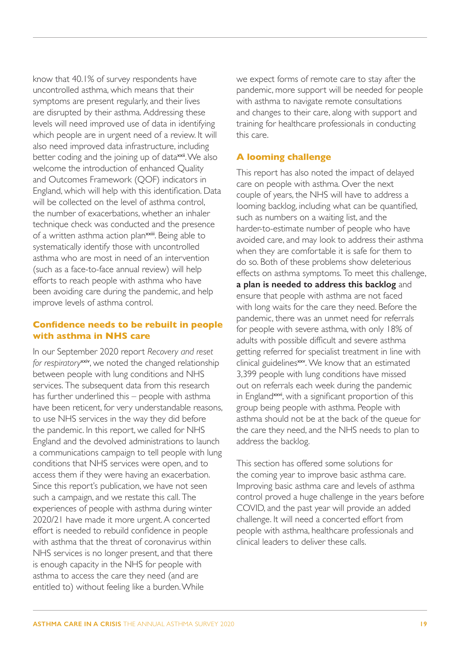<span id="page-19-0"></span>know that 40.1% of survey respondents have uncontrolled asthma, which means that their symptoms are present regularly, and their lives are disrupted by their asthma. Addressing these levels will need improved use of data in identifying which people are in urgent need of a review. It will also need improved data infrastructure, including better coding and the joining up of data<sup>xxii</sup>. We also welcome the introduction of enhanced Quality and Outcomes Framework (QOF) indicators in England, which will help with this identification. Data will be collected on the level of asthma control. the number of exacerbations, whether an inhaler technique check was conducted and the presence of a written asthma action plan<sup>[xxiii](#page-22-6)</sup>. Being able to systematically identify those with uncontrolled asthma who are most in need of an intervention (such as a face-to-face annual review) will help efforts to reach people with asthma who have been avoiding care during the pandemic, and help improve levels of asthma control.

## **Confidence needs to be rebuilt in people with asthma in NHS care**

In our September 2020 report *Recovery and reset*  for respiratory<sup>[xxiv](#page-22-7)</sup>, we noted the changed relationship between people with lung conditions and NHS services. The subsequent data from this research has further underlined this – people with asthma have been reticent, for very understandable reasons, to use NHS services in the way they did before the pandemic. In this report, we called for NHS England and the devolved administrations to launch a communications campaign to tell people with lung conditions that NHS services were open, and to access them if they were having an exacerbation. Since this report's publication, we have not seen such a campaign, and we restate this call. The experiences of people with asthma during winter 2020/21 have made it more urgent. A concerted effort is needed to rebuild confidence in people with asthma that the threat of coronavirus within NHS services is no longer present, and that there is enough capacity in the NHS for people with asthma to access the care they need (and are entitled to) without feeling like a burden. While

we expect forms of remote care to stay after the pandemic, more support will be needed for people with asthma to navigate remote consultations and changes to their care, along with support and training for healthcare professionals in conducting this care.

## **A looming challenge**

This report has also noted the impact of delayed care on people with asthma. Over the next couple of years, the NHS will have to address a looming backlog, including what can be quantified, such as numbers on a waiting list, and the harder-to-estimate number of people who have avoided care, and may look to address their asthma when they are comfortable it is safe for them to do so. Both of these problems show deleterious effects on asthma symptoms. To meet this challenge, **a plan is needed to address this backlog** and ensure that people with asthma are not faced with long waits for the care they need. Before the pandemic, there was an unmet need for referrals for people with severe asthma, with only 18% of adults with possible difficult and severe asthma getting referred for specialist treatment in line with clinical guidelines<sup>[xxv](#page-22-8)</sup>. We know that an estimated 3,399 people with lung conditions have missed out on referrals each week during the pandemic in England<sup>[xxvi](#page-22-9)</sup>, with a significant proportion of this group being people with asthma. People with asthma should not be at the back of the queue for the care they need, and the NHS needs to plan to address the backlog.

This section has offered some solutions for the coming year to improve basic asthma care. Improving basic asthma care and levels of asthma control proved a huge challenge in the years before COVID, and the past year will provide an added challenge. It will need a concerted effort from people with asthma, healthcare professionals and clinical leaders to deliver these calls.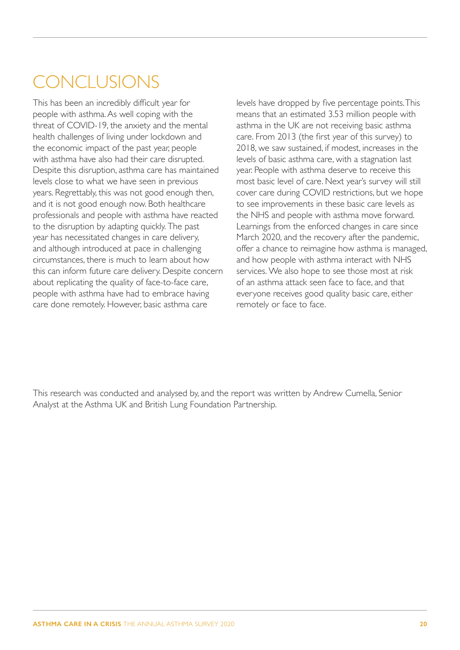# <span id="page-20-0"></span>**CONCLUSIONS**

This has been an incredibly difficult year for people with asthma. As well coping with the threat of COVID-19, the anxiety and the mental health challenges of living under lockdown and the economic impact of the past year, people with asthma have also had their care disrupted. Despite this disruption, asthma care has maintained levels close to what we have seen in previous years. Regrettably, this was not good enough then, and it is not good enough now. Both healthcare professionals and people with asthma have reacted to the disruption by adapting quickly. The past year has necessitated changes in care delivery, and although introduced at pace in challenging circumstances, there is much to learn about how this can inform future care delivery. Despite concern about replicating the quality of face-to-face care, people with asthma have had to embrace having care done remotely. However, basic asthma care

levels have dropped by five percentage points. This means that an estimated 3.53 million people with asthma in the UK are not receiving basic asthma care. From 2013 (the first year of this survey) to 2018, we saw sustained, if modest, increases in the levels of basic asthma care, with a stagnation last year. People with asthma deserve to receive this most basic level of care. Next year's survey will still cover care during COVID restrictions, but we hope to see improvements in these basic care levels as the NHS and people with asthma move forward. Learnings from the enforced changes in care since March 2020, and the recovery after the pandemic, offer a chance to reimagine how asthma is managed, and how people with asthma interact with NHS services. We also hope to see those most at risk of an asthma attack seen face to face, and that everyone receives good quality basic care, either remotely or face to face.

This research was conducted and analysed by, and the report was written by Andrew Cumella, Senior Analyst at the Asthma UK and British Lung Foundation Partnership.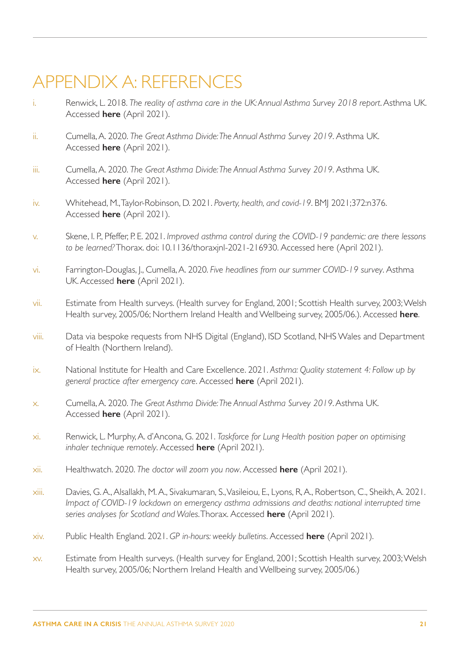## <span id="page-21-0"></span>APPENDIX A: REFERENCES

- <span id="page-21-1"></span>i. Renwick, L. 2018. *The reality of asthma care in the UK: Annual Asthma Survey 2018 report*. Asthma UK. Accessed **[here](https://www.asthma.org.uk/578f5bcf/globalassets/get-involved/external-affairs-campaigns/publications/annual-asthma-care-survey/annual-asthma-survey-2018/asthmauk-annual-asthma-survey-2018-v7.pdf)** (April 2021).
- <span id="page-21-2"></span>ii. Cumella, A. 2020. *The Great Asthma Divide: The Annual Asthma Survey 2019*. Asthma UK. Accessed **[here](https://www.asthma.org.uk/58a0ecb9/globalassets/campaigns/publications/The-Great-Asthma-Divide.pdf)** (April 2021).
- <span id="page-21-3"></span>iii. Cumella, A. 2020. *The Great Asthma Divide: The Annual Asthma Survey 2019*. Asthma UK. Accessed **[here](https://www.asthma.org.uk/58a0ecb9/globalassets/campaigns/publications/The-Great-Asthma-Divide.pdf)** (April 2021).
- <span id="page-21-4"></span>iv. Whitehead, M., Taylor-Robinson, D. 2021. *Poverty, health, and covid-19*. BMJ 2021;372:n376. Accessed **[here](https://www.bmj.com/content/372/bmj.n376)** (April 2021).
- <span id="page-21-5"></span>v. Skene, I. P., Pfeffer, P. E. 2021. *Improved asthma control during the COVID-19 pandemic: are there lessons to be learned?* Thorax. doi: 10.1136/thoraxjnl-2021-216930. Accessed here (April 2021).
- <span id="page-21-6"></span>vi. Farrington-Douglas, J., Cumella, A. 2020. *Five headlines from our summer COVID-19 survey*. Asthma UK. Accessed **[here](https://thorax.bmj.com/content/early/2021/04/08/thoraxjnl-2021-216930)** (April 2021).
- <span id="page-21-7"></span>vii. Estimate from Health surveys. (Health survey for England, 2001; Scottish Health survey, 2003; Welsh Health survey, 2005/06; Northern Ireland Health and Wellbeing survey, 2005/06.). Accessed **[here](https://ukdataservice.ac.uk)**.
- <span id="page-21-8"></span>viii. Data via bespoke requests from NHS Digital (England), ISD Scotland, NHS Wales and Department of Health (Northern Ireland).
- <span id="page-21-9"></span>ix. National Institute for Health and Care Excellence. 2021. *Asthma: Quality statement 4: Follow up by general practice after emergency care*. Accessed **[here](https://www.nice.org.uk/guidance/qs25/chapter/Quality-statement-4-Follow-up-by-general-practice-after-emergency-care)** (April 2021).
- <span id="page-21-10"></span>x. Cumella, A. 2020. *The Great Asthma Divide: The Annual Asthma Survey 2019*. Asthma UK. Accessed **[here](https://www.asthma.org.uk/58a0ecb9/globalassets/campaigns/publications/The-Great-Asthma-Divide.pdf)** (April 2021).
- <span id="page-21-11"></span>xi. Renwick, L. Murphy, A. d'Ancona, G. 2021. *Taskforce for Lung Health position paper on optimising inhaler technique remotely*. Accessed **[here](https://cdn.shopify.com/s/files/1/0221/4446/files/Position_paper_on_optimising_inhaler_technique_remotely_FINAL.pdf?v=1615466185&_ga=2.115147524.2026107708.1617786102-279116017.1585145834)** (April 2021).
- <span id="page-21-12"></span>xii. Healthwatch. 2020. *The doctor will zoom you now*. Accessed **[here](https://www.healthwatch.co.uk/blog/2020-07-27/doctor-will-zoom-you-now)** (April 2021).
- <span id="page-21-13"></span>xiii. Davies, G. A., Alsallakh, M. A., Sivakumaran, S., Vasileiou, E., Lyons, R, A., Robertson, C., Sheikh, A. 2021. *Impact of COVID-19 lockdown on emergency asthma admissions and deaths: national interrupted time series analyses for Scotland and Wales*. Thorax. Accessed **[here](https://thorax.bmj.com/content/early/2021/02/11/thoraxjnl-2020-216380?rss=1)** (April 2021).
- <span id="page-21-14"></span>xiv. Public Health England. 2021. *GP in-hours: weekly bulletins*. Accessed **[here](https://www.gov.uk/government/publications/gp-in-hours-weekly-bulletins-for-2021)** (April 2021).
- <span id="page-21-15"></span>xv. Estimate from Health surveys. (Health survey for England, 2001; Scottish Health survey, 2003; Welsh Health survey, 2005/06; Northern Ireland Health and Wellbeing survey, 2005/06.)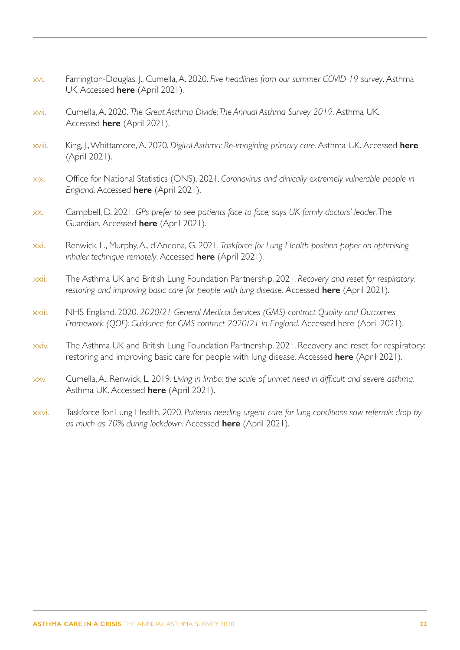- <span id="page-22-0"></span>xvi. Farrington-Douglas, J., Cumella, A. 2020. *Five headlines from our summer COVID-19 survey*. Asthma UK. Accessed **[here](https://www.asthma.org.uk/support-us/campaigns/campaigns-blog/five-survey-headlines/)** (April 2021).
- <span id="page-22-1"></span>xvii. Cumella, A. 2020. *The Great Asthma Divide: The Annual Asthma Survey 2019*. Asthma UK. Accessed **[here](http://ukdataservice.ac.uk/)** (April 2021).
- <span id="page-22-2"></span>xviii. King, J., Whittamore, A. 2020. *Digital Asthma: Re-imagining primary care*. Asthma UK. Accessed **[here](https://www.asthma.org.uk/support-us/campaigns/publications/digital-asthma/)** (April 2021).
- <span id="page-22-3"></span>xix. Office for National Statistics (ONS). 2021. *Coronavirus and clinically extremely vulnerable people in England*. Accessed **[here](https://www.ons.gov.uk/peoplepopulationandcommunity/healthandsocialcare/conditionsanddiseases/datasets/coronavirusandclinicallyextremelyvulnerablepeopleinengland)** (April 2021).
- <span id="page-22-4"></span>xx. Campbell, D. 2021. *GPs prefer to see patients face to face, says UK family doctors' leader*. The Guardian. Accessed **[here](https://www.theguardian.com/society/2021/mar/28/gps-prefer-to-see-patients-face-to-face-says-uk-family-doctors-leader)** (April 2021).
- <span id="page-22-5"></span>xxi. Renwick, L., Murphy, A., d'Ancona, G. 2021. *Taskforce for Lung Health position paper on optimising inhaler technique remotely*. Accessed **[here](https://cdn.shopify.com/s/files/1/0221/4446/files/Position_paper_on_optimising_inhaler_technique_remotely_FINAL.pdf?v=1615466185&_ga=2.115147524.2026107708.1617786102-279116017.1585145834)** (April 2021).
- xxii. The Asthma UK and British Lung Foundation Partnership. 2021. *Recovery and reset for respiratory: restoring and improving basic care for people with lung disease*. Accessed **[here](https://www.asthma.org.uk/283059c7/globalassets/campaigns/publications/restarting-basic-care-final.pdf)** (April 2021).
- <span id="page-22-6"></span>xxiii. NHS England. 2020. *2020/21 General Medical Services (GMS) contract Quality and Outcomes Framework (QOF): Guidance for GMS contract 2020/21 in England*. Accessed here (April 2021).
- <span id="page-22-7"></span>xxiv. The Asthma UK and British Lung Foundation Partnership. 2021. Recovery and reset for respiratory: restoring and improving basic care for people with lung disease. Accessed **[here](https://www.england.nhs.uk/coronavirus/wp-content/uploads/sites/52/2020/03/C0713-202021-General-Medical-Services-GMS-contract-Quality-and-Outcomes-Framework-QOF-Guidance.pdf)** (April 2021).
- <span id="page-22-8"></span>xxv. Cumella, A., Renwick, L. 2019. *Living in limbo: the scale of unmet need in difficult and severe asthma*. Asthma UK. Accessed **[here](https://www.asthma.org.uk/support-us/campaigns/publications/living-in-limbo/)** (April 2021).
- <span id="page-22-9"></span>xxvi. Taskforce for Lung Health. 2020. *Patients needing urgent care for lung conditions saw referrals drop by as much as 70% during lockdown*. Accessed **[here](https://www.blf.org.uk/taskforce/get-in-touch/media/patients-needing-urgent-care-for-lung-conditions)** (April 2021).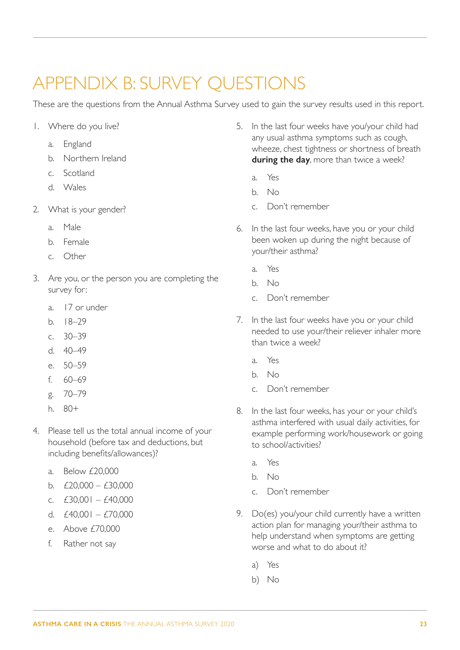## <span id="page-23-1"></span><span id="page-23-0"></span>APPENDIX B: SURVEY QUESTIONS

These are the questions from the Annual Asthma Survey used to gain the survey results used in this report.

- 1. Where do you live?
	- a. England
	- b. Northern Ireland
	- c. Scotland
	- d. Wales
- 2. What is your gender?
	- a. Male
	- b. Female
	- c. Other
- 3. Are you, or the person you are completing the survey for:
	- a. 17 or under
	- b. 18–29
	- $c \sqrt{30-39}$
	- d. 40–49
	- e. 50–59
	- f. 60–69
	- g. 70–79
	- h. 80+
- 4. Please tell us the total annual income of your household (before tax and deductions, but including benefits/allowances)?
	- a. Below £20,000
	- b.  $£20,000 £30,000$
	- c.  $£30,001 £40,000$
	- d.  $f40,001 f70,000$
	- e. Above £70,000
	- f. Rather not say
- 5. In the last four weeks have you/your child had any usual asthma symptoms such as cough, wheeze, chest tightness or shortness of breath **during the day**, more than twice a week?
	- a. Yes
	- b. No
	- c. Don't remember
- 6. In the last four weeks, have you or your child been woken up during the night because of your/their asthma?
	- a. Yes
	- b. No
	- c. Don't remember
- 7. In the last four weeks have you or your child needed to use your/their reliever inhaler more than twice a week?
	- a. Yes
	- b. No
	- c. Don't remember
- 8. In the last four weeks, has your or your child's asthma interfered with usual daily activities, for example performing work/housework or going to school/activities?
	- a. Yes
	- b. No
	- c. Don't remember
- 9. Do(es) you/your child currently have a written action plan for managing your/their asthma to help understand when symptoms are getting worse and what to do about it?
	- a) Yes
	- b) No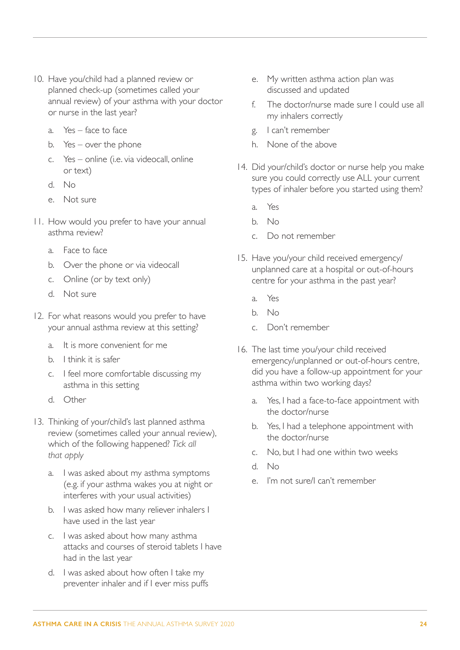- 10. Have you/child had a planned review or planned check-up (sometimes called your annual review) of your asthma with your doctor or nurse in the last year?
	- a. Yes face to face
	- b. Yes over the phone
	- c. Yes online (i.e. via videocall, online or text)
	- d. No
	- e. Not sure
- 11. How would you prefer to have your annual asthma review?
	- a. Face to face
	- b. Over the phone or via videocall
	- c. Online (or by text only)
	- d. Not sure
- 12. For what reasons would you prefer to have your annual asthma review at this setting?
	- a. It is more convenient for me
	- b. I think it is safer
	- c. I feel more comfortable discussing my asthma in this setting
	- d. Other
- 13. Thinking of your/child's last planned asthma review (sometimes called your annual review), which of the following happened? *Tick all that apply*
	- a. I was asked about my asthma symptoms (e.g. if your asthma wakes you at night or interferes with your usual activities)
	- b. I was asked how many reliever inhalers I have used in the last year
	- c. I was asked about how many asthma attacks and courses of steroid tablets I have had in the last year
	- d. I was asked about how often I take my preventer inhaler and if I ever miss puffs
- e. My written asthma action plan was discussed and updated
- f. The doctor/nurse made sure I could use all my inhalers correctly
- g. I can't remember
- h. None of the above
- 14. Did your/child's doctor or nurse help you make sure you could correctly use ALL your current types of inhaler before you started using them?
	- a. Yes
	- b. No
	- c. Do not remember
- 15. Have you/your child received emergency/ unplanned care at a hospital or out-of-hours centre for your asthma in the past year?
	- a. Yes
	- b. No
	- c. Don't remember
- 16. The last time you/your child received emergency/unplanned or out-of-hours centre, did you have a follow-up appointment for your asthma within two working days?
	- a. Yes, I had a face-to-face appointment with the doctor/nurse
	- b. Yes, I had a telephone appointment with the doctor/nurse
	- c. No, but I had one within two weeks
	- d. No
	- e. I'm not sure/I can't remember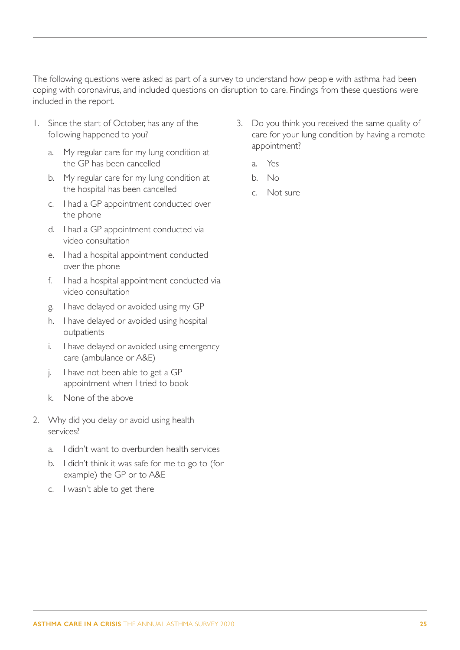The following questions were asked as part of a survey to understand how people with asthma had been coping with coronavirus, and included questions on disruption to care. Findings from these questions were included in the report.

- 1. Since the start of October, has any of the following happened to you?
	- a. My regular care for my lung condition at the GP has been cancelled
	- b. My regular care for my lung condition at the hospital has been cancelled
	- c. I had a GP appointment conducted over the phone
	- d. I had a GP appointment conducted via video consultation
	- e. I had a hospital appointment conducted over the phone
	- f. I had a hospital appointment conducted via video consultation
	- g. I have delayed or avoided using my GP
	- h. I have delayed or avoided using hospital outpatients
	- i. I have delayed or avoided using emergency care (ambulance or A&E)
	- j. I have not been able to get a GP appointment when I tried to book
	- k. None of the above
- 2. Why did you delay or avoid using health services?
	- a. I didn't want to overburden health services
	- b. I didn't think it was safe for me to go to (for example) the GP or to A&E
	- c. I wasn't able to get there
- 3. Do you think you received the same quality of care for your lung condition by having a remote appointment?
	- a. Yes
	- b. No
	- c. Not sure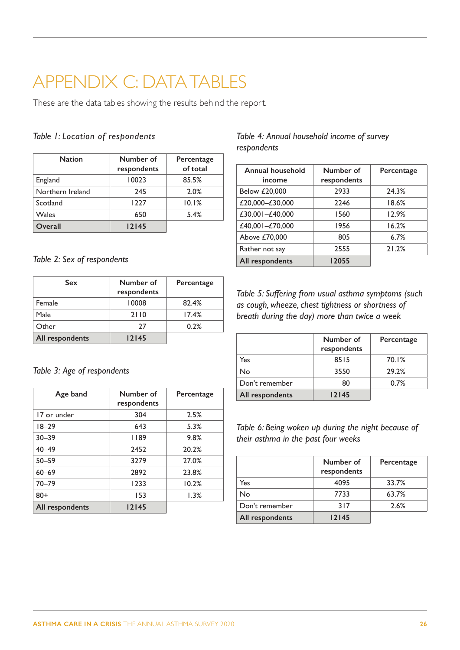## <span id="page-26-1"></span><span id="page-26-0"></span>APPENDIX C: DATA TABLES

These are the data tables showing the results behind the report.

## *Table 1: Location of respondents*

| <b>Nation</b>    | Number of<br>respondents | Percentage<br>of total |
|------------------|--------------------------|------------------------|
| England          | 10023                    | 85.5%                  |
| Northern Ireland | 245                      | 2.0%                   |
| Scotland         | 1227                     | 10.1%                  |
| Wales            | 650                      | 5.4%                   |
| Overall          | 12145                    |                        |

## *Table 2: Sex of respondents*

| <b>Sex</b>      | Number of<br>respondents | Percentage |
|-----------------|--------------------------|------------|
| Female          | 10008                    | 82.4%      |
| Male            | 2110                     | 17.4%      |
| Other           | 27                       | 0.2%       |
| All respondents | 12145                    |            |

## *Table 3: Age of respondents*

| Age band        | Number of<br>respondents | Percentage |
|-----------------|--------------------------|------------|
| 17 or under     | 304                      | 2.5%       |
| $18 - 29$       | 643                      | 5.3%       |
| $30 - 39$       | 1189                     | 9.8%       |
| $40 - 49$       | 2452                     | 20.2%      |
| $50 - 59$       | 3279                     | 27.0%      |
| $60 - 69$       | 2892                     | 23.8%      |
| $70 - 79$       | 1233                     | 10.2%      |
| $80+$           | 153                      | 1.3%       |
| All respondents | 12145                    |            |

## *Table 4: Annual household income of survey respondents*

| <b>Annual household</b><br>income | Number of<br>respondents | Percentage |
|-----------------------------------|--------------------------|------------|
| Below £20,000                     | 2933                     | 24.3%      |
| £20,000-£30,000                   | 2246                     | 18.6%      |
| £30,001-£40,000                   | 1560                     | 12.9%      |
| £40,001-£70,000                   | 1956                     | 16.2%      |
| Above £70,000                     | 805                      | 6.7%       |
| Rather not say                    | 2555                     | 21.2%      |
| All respondents                   | 12055                    |            |

*Table 5: Suffering from usual asthma symptoms (such as cough, wheeze, chest tightness or shortness of breath during the day) more than twice a week*

|                 | Number of<br>respondents | Percentage |
|-----------------|--------------------------|------------|
| Yes             | 8515                     | 70.1%      |
| No              | 3550                     | 29.2%      |
| Don't remember  | 80                       | 0.7%       |
| All respondents | 12145                    |            |

*Table 6: Being woken up during the night because of their asthma in the past four weeks*

|                 | Number of<br>respondents | Percentage |
|-----------------|--------------------------|------------|
| Yes             | 4095                     | 33.7%      |
| No              | 7733                     | 63.7%      |
| Don't remember  | 317                      | 2.6%       |
| All respondents | 12145                    |            |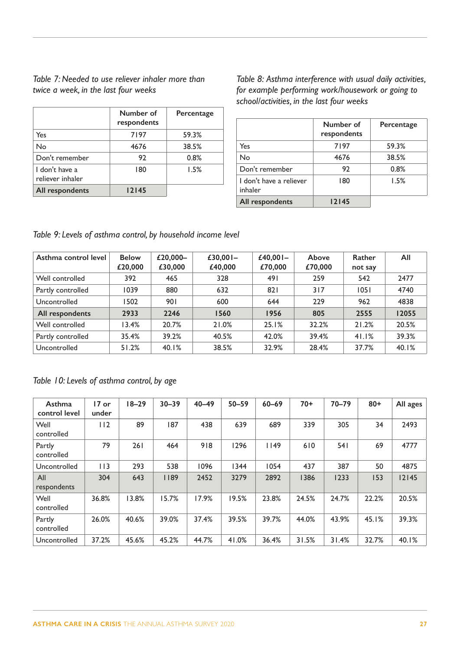*Table 7: Needed to use reliever inhaler more than twice a week, in the last four weeks*

|                                    | Number of<br>respondents | Percentage |
|------------------------------------|--------------------------|------------|
| Yes                                | 7197                     | 59.3%      |
| No                                 | 4676                     | 38.5%      |
| Don't remember                     | 92                       | 0.8%       |
| I don't have a<br>reliever inhaler | 180                      | 1.5%       |
| All respondents                    | 12145                    |            |

*Table 8: Asthma interference with usual daily activities, for example performing work/housework or going to school/activities, in the last four weeks*

|                                    | Number of<br>respondents | Percentage |
|------------------------------------|--------------------------|------------|
| Yes                                | 7197                     | 59.3%      |
| No                                 | 4676                     | 38.5%      |
| Don't remember                     | 92                       | 0.8%       |
| I don't have a reliever<br>inhaler | 180                      | 1.5%       |
| <b>All respondents</b>             | 12145                    |            |

*Table 9: Levels of asthma control, by household income level*

| Asthma control level | <b>Below</b><br>£20,000 | £20,000-<br>£30,000 | £30,001-<br>£40,000 | £40,00 $-$<br>£70,000 | Above<br>£70,000 | Rather<br>not say | All   |
|----------------------|-------------------------|---------------------|---------------------|-----------------------|------------------|-------------------|-------|
| Well controlled      | 392                     | 465                 | 328                 | 491                   | 259              | 542               | 2477  |
| Partly controlled    | 1039                    | 880                 | 632                 | 821                   | 317              | 1051              | 4740  |
| Uncontrolled         | 1502                    | <b>901</b>          | 600                 | 644                   | 229              | 962               | 4838  |
| All respondents      | 2933                    | 2246                | 1560                | 1956                  | 805              | 2555              | 12055 |
| Well controlled      | 13.4%                   | 20.7%               | 21.0%               | 25.1%                 | 32.2%            | 21.2%             | 20.5% |
| Partly controlled    | 35.4%                   | 39.2%               | 40.5%               | 42.0%                 | 39.4%            | 41.1%             | 39.3% |
| Uncontrolled         | 51.2%                   | 40.1%               | 38.5%               | 32.9%                 | 28.4%            | 37.7%             | 40.1% |

## *Table 10: Levels of asthma control, by age*

| Asthma<br>control level | $17$ or<br>under | $18 - 29$ | $30 - 39$ | $40 - 49$ | $50 - 59$ | $60 - 69$ | $70+$ | $70 - 79$ | $80 +$ | All ages |
|-------------------------|------------------|-----------|-----------|-----------|-----------|-----------|-------|-----------|--------|----------|
| Well<br>controlled      | 112              | 89        | 187       | 438       | 639       | 689       | 339   | 305       | 34     | 2493     |
| Partly<br>controlled    | 79               | 261       | 464       | 918       | 1296      | 1149      | 610   | 54 I      | 69     | 4777     |
| Uncontrolled            | 113              | 293       | 538       | 1096      | 1344      | 1054      | 437   | 387       | 50     | 4875     |
| All<br>respondents      | 304              | 643       | 1189      | 2452      | 3279      | 2892      | 1386  | 1233      | 153    | 12145    |
| Well<br>controlled      | 36.8%            | 13.8%     | 15.7%     | 17.9%     | 19.5%     | 23.8%     | 24.5% | 24.7%     | 22.2%  | 20.5%    |
| Partly<br>controlled    | 26.0%            | 40.6%     | 39.0%     | 37.4%     | 39.5%     | 39.7%     | 44.0% | 43.9%     | 45.1%  | 39.3%    |
| Uncontrolled            | 37.2%            | 45.6%     | 45.2%     | 44.7%     | 41.0%     | 36.4%     | 31.5% | 31.4%     | 32.7%  | 40.1%    |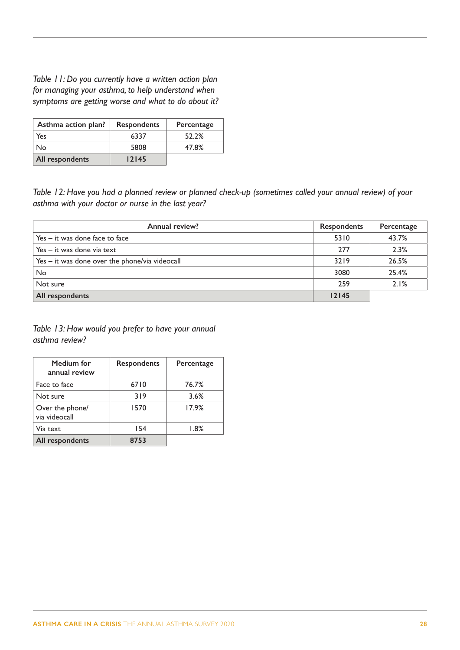*Table 11: Do you currently have a written action plan for managing your asthma, to help understand when symptoms are getting worse and what to do about it?*

| Asthma action plan? | <b>Respondents</b> | Percentage |
|---------------------|--------------------|------------|
| Yes                 | 6337               | 52.2%      |
| No                  | 5808               | 47.8%      |
| All respondents     | 12145              |            |

*Table 12: Have you had a planned review or planned check-up (sometimes called your annual review) of your asthma with your doctor or nurse in the last year?*

| <b>Annual review?</b>                          | <b>Respondents</b> | Percentage |
|------------------------------------------------|--------------------|------------|
| Yes – it was done face to face                 | 5310               | 43.7%      |
| Yes – it was done via text                     | 277                | 2.3%       |
| Yes - it was done over the phone/via videocall | 3219               | 26.5%      |
| No                                             | 3080               | 25.4%      |
| Not sure                                       | 259                | 2.1%       |
| All respondents                                | 12145              |            |

*Table 13: How would you prefer to have your annual asthma review?*

| Medium for<br>annual review      | Respondents | Percentage |
|----------------------------------|-------------|------------|
| Face to face                     | 6710        | 76.7%      |
| Not sure                         | 319         | 3.6%       |
| Over the phone/<br>via videocall | 1570        | 17.9%      |
| Via text                         | 154         | $1.8\%$    |
| All respondents                  | 8753        |            |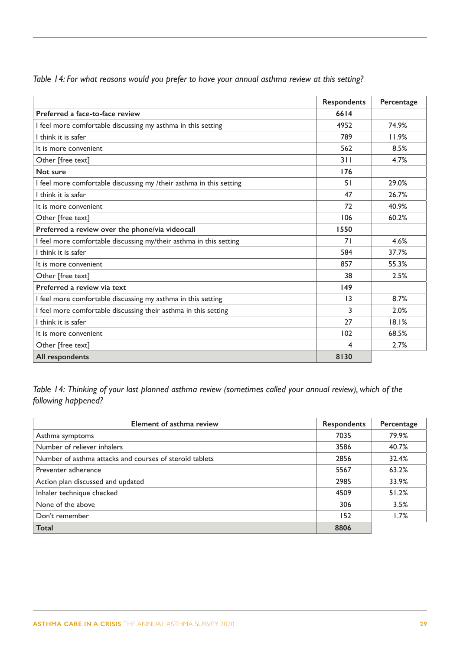|                                                                     | <b>Respondents</b> | Percentage |
|---------------------------------------------------------------------|--------------------|------------|
| Preferred a face-to-face review                                     | 6614               |            |
| I feel more comfortable discussing my asthma in this setting        | 4952               | 74.9%      |
| I think it is safer                                                 | 789                | 11.9%      |
| It is more convenient                                               | 562                | 8.5%       |
| Other [free text]                                                   | 311                | 4.7%       |
| Not sure                                                            | 176                |            |
| I feel more comfortable discussing my /their asthma in this setting | 51                 | 29.0%      |
| I think it is safer                                                 | 47                 | 26.7%      |
| It is more convenient                                               | 72                 | 40.9%      |
| Other [free text]                                                   | 106                | 60.2%      |
| Preferred a review over the phone/via videocall                     | 1550               |            |
| I feel more comfortable discussing my/their asthma in this setting  | 71                 | 4.6%       |
| I think it is safer                                                 | 584                | 37.7%      |
| It is more convenient                                               | 857                | 55.3%      |
| Other [free text]                                                   | 38                 | 2.5%       |
| Preferred a review via text                                         | 149                |            |
| I feel more comfortable discussing my asthma in this setting        | $\overline{13}$    | 8.7%       |
| I feel more comfortable discussing their asthma in this setting     | 3                  | 2.0%       |
| I think it is safer                                                 | 27                 | 18.1%      |
| It is more convenient                                               | 102                | 68.5%      |
| Other [free text]                                                   | 4                  | 2.7%       |
| All respondents                                                     | 8130               |            |

*Table 14: For what reasons would you prefer to have your annual asthma review at this setting?*

*Table 14: Thinking of your last planned asthma review (sometimes called your annual review), which of the following happened?*

| Element of asthma review                                | <b>Respondents</b> | Percentage |
|---------------------------------------------------------|--------------------|------------|
| Asthma symptoms                                         | 7035               | 79.9%      |
| Number of reliever inhalers                             | 3586               | 40.7%      |
| Number of asthma attacks and courses of steroid tablets | 2856               | 32.4%      |
| Preventer adherence                                     | 5567               | 63.2%      |
| Action plan discussed and updated                       | 2985               | 33.9%      |
| Inhaler technique checked                               | 4509               | 51.2%      |
| None of the above                                       | 306                | 3.5%       |
| Don't remember                                          | 152                | 1.7%       |
| <b>Total</b>                                            | 8806               |            |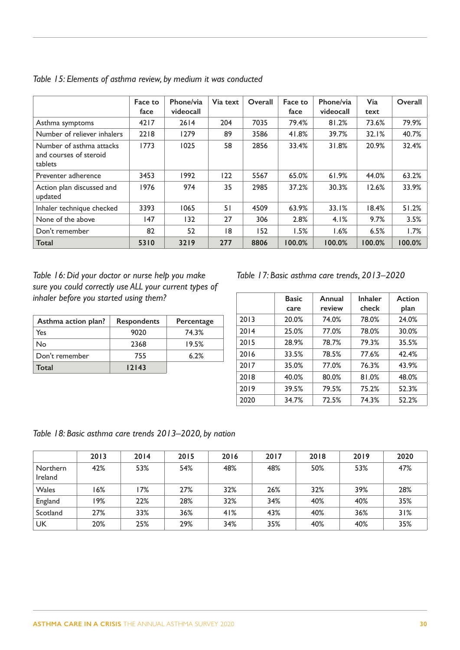|                                                               | Face to<br>face | Phone/via<br>videocall | Via text | Overall | Face to<br>face | Phone/via<br>videocall | Via<br>text | Overall |
|---------------------------------------------------------------|-----------------|------------------------|----------|---------|-----------------|------------------------|-------------|---------|
| Asthma symptoms                                               | 4217            | 2614                   | 204      | 7035    | 79.4%           | 81.2%                  | 73.6%       | 79.9%   |
| Number of reliever inhalers                                   | 2218            | 1279                   | 89       | 3586    | 41.8%           | 39.7%                  | 32.1%       | 40.7%   |
| Number of asthma attacks<br>and courses of steroid<br>tablets | 1773            | 1025                   | 58       | 2856    | 33.4%           | 31.8%                  | 20.9%       | 32.4%   |
| Preventer adherence                                           | 3453            | 1992                   | 122      | 5567    | 65.0%           | 61.9%                  | 44.0%       | 63.2%   |
| Action plan discussed and<br>updated                          | 1976            | 974                    | 35       | 2985    | 37.2%           | 30.3%                  | 12.6%       | 33.9%   |
| Inhaler technique checked                                     | 3393            | 1065                   | 51       | 4509    | 63.9%           | 33.1%                  | 18.4%       | 51.2%   |
| None of the above                                             | 147             | 132                    | 27       | 306     | 2.8%            | 4.1%                   | 9.7%        | 3.5%    |
| Don't remember                                                | 82              | 52                     | 18       | 152     | 1.5%            | 1.6%                   | 6.5%        | 1.7%    |
| <b>Total</b>                                                  | 5310            | 3219                   | 277      | 8806    | 100.0%          | 100.0%                 | 100.0%      | 100.0%  |

|  | Table 15: Elements of asthma review, by medium it was conducted |  |  |  |  |  |
|--|-----------------------------------------------------------------|--|--|--|--|--|
|--|-----------------------------------------------------------------|--|--|--|--|--|

*Table 16: Did your doctor or nurse help you make sure you could correctly use ALL your current types of inhaler before you started using them?*

| Asthma action plan? | <b>Respondents</b> | Percentage |
|---------------------|--------------------|------------|
| Yes                 | 9020               | 74.3%      |
| No                  | 2368               | 19.5%      |
| Don't remember      | 755                | 6.2%       |
| Total               | 12143              |            |

*Table 17: Basic asthma care trends, 2013–2020*

|      | <b>Basic</b><br>care | Annual<br>review | <b>Inhaler</b><br>check | Action<br>plan |
|------|----------------------|------------------|-------------------------|----------------|
| 2013 | 20.0%                | 74.0%            | 78.0%                   | 24.0%          |
| 2014 | 25.0%                | 77.0%            | 78.0%                   | 30.0%          |
| 2015 | 28.9%                | 78.7%            | 79.3%                   | 35.5%          |
| 2016 | 33.5%                | 78.5%            | 77.6%                   | 42.4%          |
| 2017 | 35.0%                | 77.0%            | 76.3%                   | 43.9%          |
| 2018 | 40.0%                | 80.0%            | 81.0%                   | 48.0%          |
| 2019 | 39.5%                | 79.5%            | 75.2%                   | 52.3%          |
| 2020 | 34.7%                | 72.5%            | 74.3%                   | 52.2%          |

*Table 18: Basic asthma care trends 2013–2020, by nation*

|                     | 2013 | 2014 | 2015 | 2016 | 2017 | 2018 | 2019 | 2020 |
|---------------------|------|------|------|------|------|------|------|------|
| Northern<br>Ireland | 42%  | 53%  | 54%  | 48%  | 48%  | 50%  | 53%  | 47%  |
| Wales               | 16%  | 17%  | 27%  | 32%  | 26%  | 32%  | 39%  | 28%  |
| England             | 19%  | 22%  | 28%  | 32%  | 34%  | 40%  | 40%  | 35%  |
| Scotland            | 27%  | 33%  | 36%  | 41%  | 43%  | 40%  | 36%  | 31%  |
| <b>UK</b>           | 20%  | 25%  | 29%  | 34%  | 35%  | 40%  | 40%  | 35%  |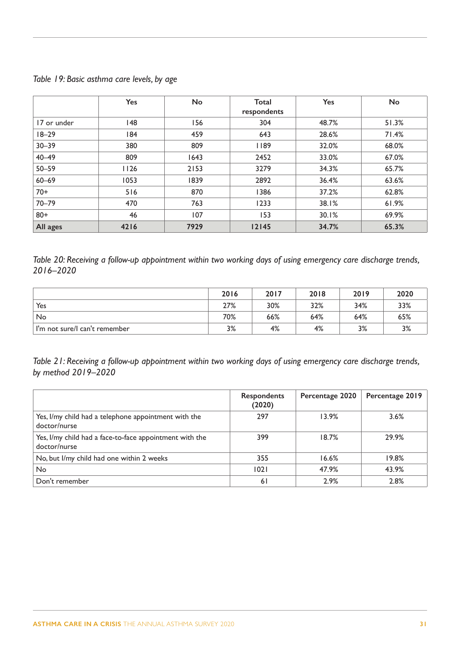*Table 19: Basic asthma care levels, by age*

|             | <b>Yes</b> | No   | <b>Total</b><br>respondents | <b>Yes</b> | <b>No</b> |
|-------------|------------|------|-----------------------------|------------|-----------|
| 17 or under | 148        | 156  | 304                         | 48.7%      | 51.3%     |
| $18 - 29$   | 184        | 459  | 643                         | 28.6%      | 71.4%     |
| $30 - 39$   | 380        | 809  | 1189                        | 32.0%      | 68.0%     |
| $40 - 49$   | 809        | 1643 | 2452                        | 33.0%      | 67.0%     |
| $50 - 59$   | 1126       | 2153 | 3279                        | 34.3%      | 65.7%     |
| $60 - 69$   | 1053       | 1839 | 2892                        | 36.4%      | 63.6%     |
| $70+$       | 516        | 870  | 1386                        | 37.2%      | 62.8%     |
| $70 - 79$   | 470        | 763  | 1233                        | 38.1%      | 61.9%     |
| $80 +$      | 46         | 107  | 153                         | 30.1%      | 69.9%     |
| All ages    | 4216       | 7929 | 12145                       | 34.7%      | 65.3%     |

*Table 20: Receiving a follow-up appointment within two working days of using emergency care discharge trends, 2016–2020*

|                               | 2016 | 2017 | 2018 | 2019 | 2020 |
|-------------------------------|------|------|------|------|------|
| Yes                           | 27%  | 30%  | 32%  | 34%  | 33%  |
| No                            | 70%  | 66%  | 64%  | 64%  | 65%  |
| I'm not sure/I can't remember | 3%   | 4%   | 4%   | 3%   | 3%   |

*Table 21: Receiving a follow-up appointment within two working days of using emergency care discharge trends, by method 2019–2020*

|                                                                         | <b>Respondents</b><br>(2020) | Percentage 2020 | Percentage 2019 |
|-------------------------------------------------------------------------|------------------------------|-----------------|-----------------|
| Yes, I/my child had a telephone appointment with the<br>doctor/nurse    | 297                          | 13.9%           | 3.6%            |
| Yes, I/my child had a face-to-face appointment with the<br>doctor/nurse | 399                          | 18.7%           | 29.9%           |
| No, but I/my child had one within 2 weeks                               | 355                          | 16.6%           | 19.8%           |
| <b>No</b>                                                               | 1021                         | 47.9%           | 43.9%           |
| Don't remember                                                          | <sup>6</sup>                 | 2.9%            | 2.8%            |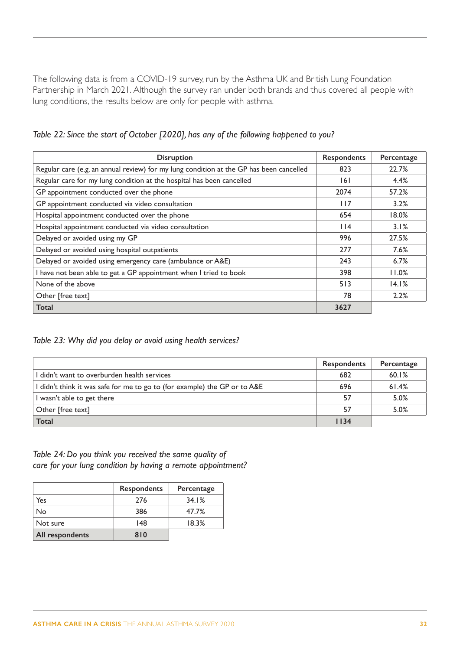The following data is from a COVID-19 survey, run by the Asthma UK and British Lung Foundation Partnership in March 2021. Although the survey ran under both brands and thus covered all people with lung conditions, the results below are only for people with asthma.

*Table 22: Since the start of October [2020], has any of the following happened to you?*

| <b>Disruption</b>                                                                       | <b>Respondents</b> | Percentage |
|-----------------------------------------------------------------------------------------|--------------------|------------|
| Regular care (e.g. an annual review) for my lung condition at the GP has been cancelled | 823                | 22.7%      |
| Regular care for my lung condition at the hospital has been cancelled                   | 6                  | 4.4%       |
| GP appointment conducted over the phone                                                 | 2074               | 57.2%      |
| GP appointment conducted via video consultation                                         | 117                | 3.2%       |
| Hospital appointment conducted over the phone                                           | 654                | 18.0%      |
| Hospital appointment conducted via video consultation                                   | $ $  4             | 3.1%       |
| Delayed or avoided using my GP                                                          | 996                | 27.5%      |
| Delayed or avoided using hospital outpatients                                           | 277                | 7.6%       |
| Delayed or avoided using emergency care (ambulance or A&E)                              | 243                | 6.7%       |
| I have not been able to get a GP appointment when I tried to book                       | 398                | 11.0%      |
| None of the above                                                                       | 513                | 14.1%      |
| Other [free text]                                                                       | 78                 | 2.2%       |
| Total                                                                                   | 3627               |            |

*Table 23: Why did you delay or avoid using health services?* 

|                                                                           | <b>Respondents</b> | Percentage |
|---------------------------------------------------------------------------|--------------------|------------|
| I didn't want to overburden health services                               | 682                | 60.1%      |
| I didn't think it was safe for me to go to (for example) the GP or to A&E | 696                | 61.4%      |
| I wasn't able to get there                                                | 57                 | 5.0%       |
| Other [free text]                                                         | 57                 | 5.0%       |
| <b>Total</b>                                                              | 1134               |            |

*Table 24: Do you think you received the same quality of care for your lung condition by having a remote appointment?*

|                 | <b>Respondents</b> | Percentage |
|-----------------|--------------------|------------|
| Yes             | 276                | 34.1%      |
| No              | 386                | 47.7%      |
| Not sure        | 148                | 18.3%      |
| All respondents | 810                |            |